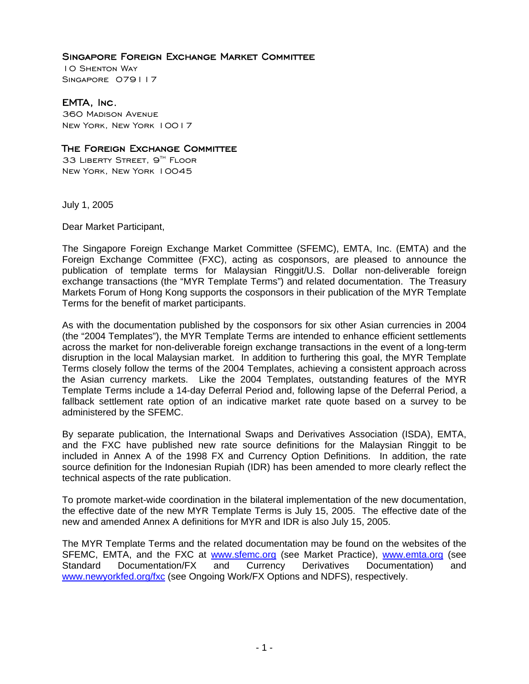## Singapore Foreign Exchange Market Committee

10 Shenton Way SINGAPORE 079117

## EMTA, Inc.

360 Madison Avenue New York, New York 10017

## The Foreign Exchange Committee

33 LIBERTY STREET, 9<sup>TH</sup> FLOOR New York, New York 10045

July 1, 2005

Dear Market Participant,

The Singapore Foreign Exchange Market Committee (SFEMC), EMTA, Inc. (EMTA) and the Foreign Exchange Committee (FXC), acting as cosponsors, are pleased to announce the publication of template terms for Malaysian Ringgit/U.S. Dollar non-deliverable foreign exchange transactions (the "MYR Template Terms") and related documentation. The Treasury Markets Forum of Hong Kong supports the cosponsors in their publication of the MYR Template Terms for the benefit of market participants.

As with the documentation published by the cosponsors for six other Asian currencies in 2004 (the "2004 Templates"), the MYR Template Terms are intended to enhance efficient settlements across the market for non-deliverable foreign exchange transactions in the event of a long-term disruption in the local Malaysian market. In addition to furthering this goal, the MYR Template Terms closely follow the terms of the 2004 Templates, achieving a consistent approach across the Asian currency markets. Like the 2004 Templates, outstanding features of the MYR Template Terms include a 14-day Deferral Period and, following lapse of the Deferral Period, a fallback settlement rate option of an indicative market rate quote based on a survey to be administered by the SFEMC.

By separate publication, the International Swaps and Derivatives Association (ISDA), EMTA, and the FXC have published new rate source definitions for the Malaysian Ringgit to be included in Annex A of the 1998 FX and Currency Option Definitions. In addition, the rate source definition for the Indonesian Rupiah (IDR) has been amended to more clearly reflect the technical aspects of the rate publication.

To promote market-wide coordination in the bilateral implementation of the new documentation, the effective date of the new MYR Template Terms is July 15, 2005. The effective date of the new and amended Annex A definitions for MYR and IDR is also July 15, 2005.

The MYR Template Terms and the related documentation may be found on the websites of the SFEMC, EMTA, and the FXC at www.sfemc.org (see Market Practice), www.emta.org (see Standard Documentation/FX and Currency Derivatives Documentation) and www.newyorkfed.org/fxc (see Ongoing Work/FX Options and NDFS), respectively.